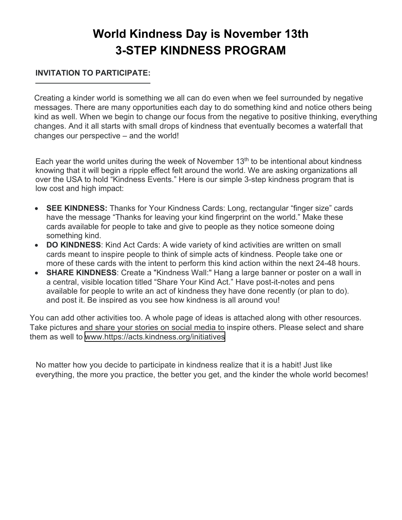### **3-STEP KINDNESS PROGRAM World Kindness Day is November 13th**

#### **INVITATION TO PARTICIPATE:**

Creating a kinder world is something we all can do even when we feel surrounded by negative messages. There are many opportunities each day to do something kind and notice others being kind as well. When we begin to change our focus from the negative to positive thinking, everything changes. And it all starts with small drops of kindness that eventually becomes a waterfall that changes our perspective – and the world!

Each year the world unites during the week of November  $13<sup>th</sup>$  to be intentional about kindness knowing that it will begin a ripple effect felt around the world. We are asking organizations all over the USA to hold "Kindness Events." Here is our simple 3-step kindness program that is low cost and high impact:

- **SEE KINDNESS:** Thanks for Your Kindness Cards: Long, rectangular "finger size" cards have the message "Thanks for leaving your kind fingerprint on the world." Make these cards available for people to take and give to people as they notice someone doing something kind.
- **DO KINDNESS**: Kind Act Cards: A wide variety of kind activities are written on small cards meant to inspire people to think of simple acts of kindness. People take one or more of these cards with the intent to perform this kind action within the next 24-48 hours.
- **SHARE KINDNESS**: Create a "Kindness Wall:" Hang a large banner or poster on a wall in a central, visible location titled "Share Your Kind Act." Have post-it-notes and pens available for people to write an act of kindness they have done recently (or plan to do). and post it. Be inspired as you see how kindness is all around you!

You can add other activities too. A whole page of ideas is attached along with other resources. Take pictures and share your stories on social media to inspire others. Please select and share them a[s well to w](https://acts.kindness.org/initiatives)[ww.https:/](http://www)[/acts.kindness.org/initiatives](https://acts.kindness.org/initiatives)

No matter how you decide to participate in kindness realize that it is a habit! Just like everything, the more you practice, the better you get, and the kinder the whole world becomes!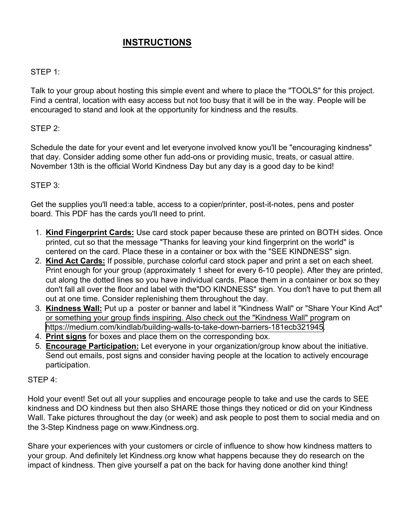### **INSTRUCTIONS**

#### STEP 1:

Talk to your group about hosting this simple event and where to place the "TOOLS" for this project. Find a central, location with easy access but not too busy that it will be in the way. People will be encouraged to stand and look at the opportunity for kindness and the results.

#### STEP 2:

Schedule the date for your event and let everyone involved know you'll be "encouraging kindness" that day. Consider adding some other fun add-ons or providing music, treats, or casual attire. November 13th is the official World Kindness Day but any day is a good day to be kind!

#### STEP 3:

Get the supplies you'll need:a table, access to a copier/printer, post-it-notes, pens and poster board. This PDF has the cards you'll need to print.

- 1. **Kind Fingerprint Cards:** Use card stock paper because these are printed on BOTH sides. Once printed, cut so that the message "Thanks for leaving your kind fingerprint on the world" is centered on the card. Place these in a container or box with the "SEE KINDNESS" sign.
- 2. **Kind Act Cards:** If possible, purchase colorful card stock paper and print a set on each sheet. Print enough for your group (approximately 1 sheet for every 6-10 people). After they are printed, cut along the dotted lines so you have individual cards. Place them in a container or box so they don't fall all over the floor and label with the"DO KINDNESS" sign. You don't have to put them all out at one time. Consider replenishing them throughout the day.
- 3. **Kindness Wall:** Put up a poster or banner and label it "Kindness Wall" or "Share Your Kind Act" or something your group finds inspiring. Also check out the "Kindness Wall" program on [https://medium.com/kindlab/building-walls-to-take-down-barriers-181ecb321945.](https://medium.com/kindlab/building-walls-to-take-down-barriers-181ecb321945)
- 4. **Print signs** for boxes and place them on the corresponding box.
- 5. **Encourage Participation:** Let everyone in your organization/group know about the initiative. Send out emails, post signs and consider having people at the location to actively encourage participation.

#### STEP 4:

Hold your event! Set out all your supplies and encourage people to take and use the cards to SEE kindness and DO kindness but then also SHARE those things they noticed or did on your Kindness Wall. Take pictures throughout the day (or week) and ask people to post them to social media and on the 3-Step Kindness page on [www.Kindness.org.](http://www.Kindness.org) 

Share your experiences with your customers or circle of influence to show how kindness matters to your group. And definitely let Kindness.org know what happens because they do research on the impact of kindness. Then give yourself a pat on the back for having done another kind thing!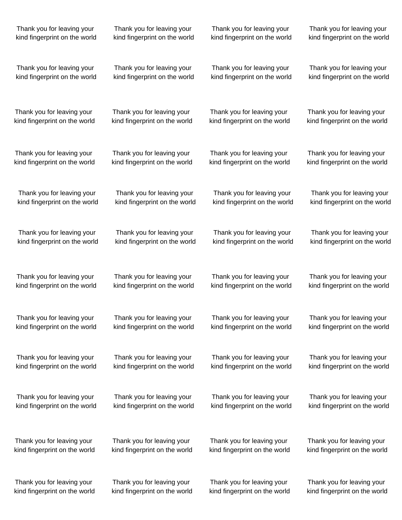| Thank you for leaving your    | Thank you for leaving your    | Thank you for leaving your    | Thank you for leaving your    |
|-------------------------------|-------------------------------|-------------------------------|-------------------------------|
| kind fingerprint on the world | kind fingerprint on the world | kind fingerprint on the world | kind fingerprint on the world |
| Thank you for leaving your    | Thank you for leaving your    | Thank you for leaving your    | Thank you for leaving your    |
| kind fingerprint on the world | kind fingerprint on the world | kind fingerprint on the world | kind fingerprint on the world |
| Thank you for leaving your    | Thank you for leaving your    | Thank you for leaving your    | Thank you for leaving your    |
| kind fingerprint on the world | kind fingerprint on the world | kind fingerprint on the world | kind fingerprint on the world |
| Thank you for leaving your    | Thank you for leaving your    | Thank you for leaving your    | Thank you for leaving your    |
| kind fingerprint on the world | kind fingerprint on the world | kind fingerprint on the world | kind fingerprint on the world |
| Thank you for leaving your    | Thank you for leaving your    | Thank you for leaving your    | Thank you for leaving your    |
| kind fingerprint on the world | kind fingerprint on the world | kind fingerprint on the world | kind fingerprint on the world |
| Thank you for leaving your    | Thank you for leaving your    | Thank you for leaving your    | Thank you for leaving your    |
| kind fingerprint on the world | kind fingerprint on the world | kind fingerprint on the world | kind fingerprint on the world |
| Thank you for leaving your    | Thank you for leaving your    | Thank you for leaving your    | Thank you for leaving your    |
| kind fingerprint on the world | kind fingerprint on the world | kind fingerprint on the world | kind fingerprint on the world |
| Thank you for leaving your    | Thank you for leaving your    | Thank you for leaving your    | Thank you for leaving your    |
| kind fingerprint on the world | kind fingerprint on the world | kind fingerprint on the world | kind fingerprint on the world |
| Thank you for leaving your    | Thank you for leaving your    | Thank you for leaving your    | Thank you for leaving your    |
| kind fingerprint on the world | kind fingerprint on the world | kind fingerprint on the world | kind fingerprint on the world |
| Thank you for leaving your    | Thank you for leaving your    | Thank you for leaving your    | Thank you for leaving your    |
| kind fingerprint on the world | kind fingerprint on the world | kind fingerprint on the world | kind fingerprint on the world |
| Thank you for leaving your    | Thank you for leaving your    | Thank you for leaving your    | Thank you for leaving your    |
| kind fingerprint on the world | kind fingerprint on the world | kind fingerprint on the world | kind fingerprint on the world |
| Thank you for leaving your    | Thank you for leaving your    | Thank you for leaving your    | Thank you for leaving your    |
| kind fingerprint on the world | kind fingerprint on the world | kind fingerprint on the world | kind fingerprint on the world |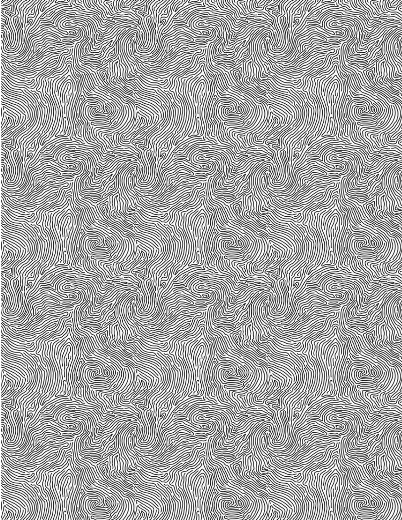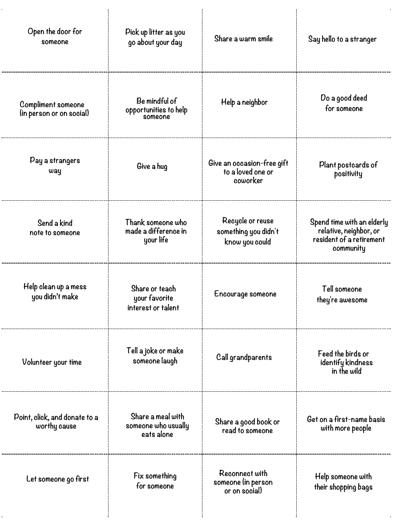| Open the door for<br>someone                   | Pick up litter as you<br>go about your day             | Share a warm smile                                          | Say hello to a stranger                                                                       |
|------------------------------------------------|--------------------------------------------------------|-------------------------------------------------------------|-----------------------------------------------------------------------------------------------|
| Compliment someone<br>(in person or on social) | Be mindful of<br>opportunities to help<br>someone      | Help a neighbor                                             | Do a good deed<br>for someone                                                                 |
| Pay a strangers<br>way                         | Give a hug                                             | Give an occasion-free gift<br>to a loved one or<br>coworker | Plant postcards of<br>positivity                                                              |
| Send a kind<br>note to someone                 | Thank someone who<br>made a difference in<br>your life | Recycle or reuse<br>something you didn't<br>know you could  | Spend time with an elderly<br>relative, neighbor, or<br>resident of a retirement<br>community |
| Help clean up a mess<br>you didn't make        | Share or teach<br>your favorite<br>interest or talent  | Encourage someone                                           | Tell someone<br>they're awesome                                                               |
| Volunteer your time                            | Tell a joke or make<br>someone laugh                   | Call grandparents                                           | Feed the birds or<br>identify kindness<br>in the wild                                         |
| Point, click, and donate to a<br>worthy cause  | Share a meal with<br>someone who usually<br>eats alone | Share a good book or<br>read to someone                     | Get on a first-name basis<br>with more people                                                 |
| Let someone go first                           | Fix something<br>for someone                           | Reconnect with<br>someone (in person<br>or on social)       | Help someone with<br>their shopping bags                                                      |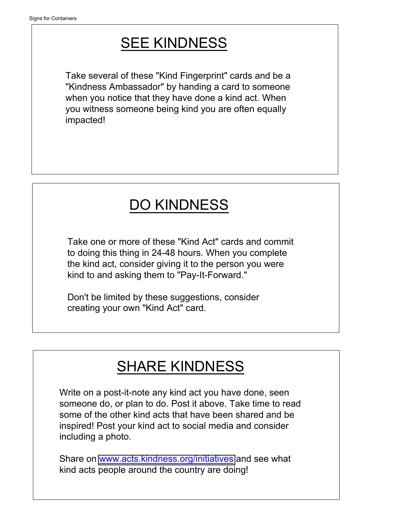# SEE KINDNESS

Take several of these "Kind Fingerprint" cards and be a "Kindness Ambassador" by handing a card to someone when you notice that they have done a kind act. When you witness someone being kind you are often equally impacted!

# DO KINDNESS

Take one or more of these "Kind Act" cards and commit to doing this thing in 24-48 hours. When you complete the kind act, consider giving it to the person you were kind to and asking them to "Pay-It-Forward."

Don't be limited by these suggestions, consider creating your own "Kind Act" card.

## SHARE KINDNESS

Write on a post-it-note any kind act you have done, seen someone do, or plan to do. Post it above. Take time to read some of the other kind acts that have been shared and be inspired! Post your kind act to social media and consider including a photo.

Share on [www.acts.kindness.org/initiatives](http://www.acts.kindness.org/initiatives) and see what kind acts people around the country are doing!